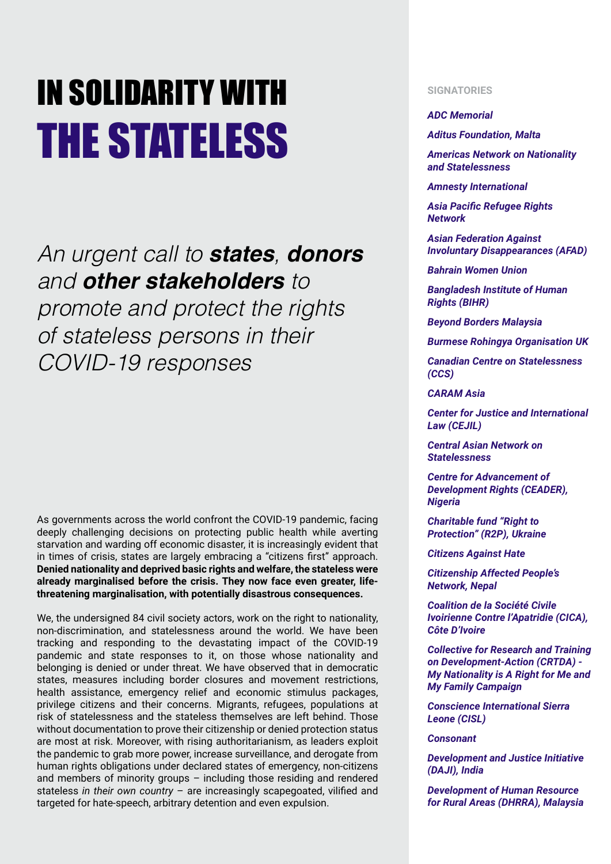## IN SOLIDARITY WITH THE STATELESS

## *An urgent call to states, donors and other stakeholders to*

*promote and protect the rights of stateless persons in their COVID-19 responses*

As governments across the world confront the COVID-19 pandemic, facing deeply challenging decisions on protecting public health while averting starvation and warding off economic disaster, it is increasingly evident that in times of crisis, states are largely embracing a "citizens first" approach. **Denied nationality and deprived basic rights and welfare, the stateless were already marginalised before the crisis. They now face even greater, lifethreatening marginalisation, with potentially disastrous consequences.**

We, the undersigned 84 civil society actors, work on the right to nationality, non-discrimination, and statelessness around the world. We have been tracking and responding to the devastating impact of the COVID-19 pandemic and state responses to it, on those whose nationality and belonging is denied or under threat. We have observed that in democratic states, measures including border closures and movement restrictions, health assistance, emergency relief and economic stimulus packages, privilege citizens and their concerns. Migrants, refugees, populations at risk of statelessness and the stateless themselves are left behind. Those without documentation to prove their citizenship or denied protection status are most at risk. Moreover, with rising authoritarianism, as leaders exploit the pandemic to grab more power, increase surveillance, and derogate from human rights obligations under declared states of emergency, non-citizens and members of minority groups – including those residing and rendered stateless *in their own country* – are increasingly scapegoated, vilified and targeted for hate-speech, arbitrary detention and even expulsion.

## **SIGNATORIES**

## *ADC Memorial*

*Aditus Foundation, Malta*

*Americas Network on Nationality and Statelessness* 

*Amnesty International*

*Asia Pacific Refugee Rights Network*

*Asian Federation Against Involuntary Disappearances (AFAD)* 

*Bahrain Women Union*

*Bangladesh Institute of Human Rights (BIHR)*

*Beyond Borders Malaysia*

*Burmese Rohingya Organisation UK*

*Canadian Centre on Statelessness (CCS)*

*CARAM Asia*

*Center for Justice and International Law (CEJIL)*

*Central Asian Network on Statelessness*

*Centre for Advancement of Development Rights (CEADER), Nigeria*

*Charitable fund "Right to Protection" (R2P), Ukraine*

*Citizens Against Hate*

*Citizenship Affected People's Network, Nepal*

*Coalition de la Société Civile Ivoirienne Contre l'Apatridie (CICA), Côte D'Ivoire*

*Collective for Research and Training on Development-Action (CRTDA) - My Nationality is A Right for Me and My Family Campaign*

*Conscience International Sierra Leone (CISL)*

*Consonant*

*Development and Justice Initiative (DAJI), India*

*Development of Human Resource for Rural Areas (DHRRA), Malaysia*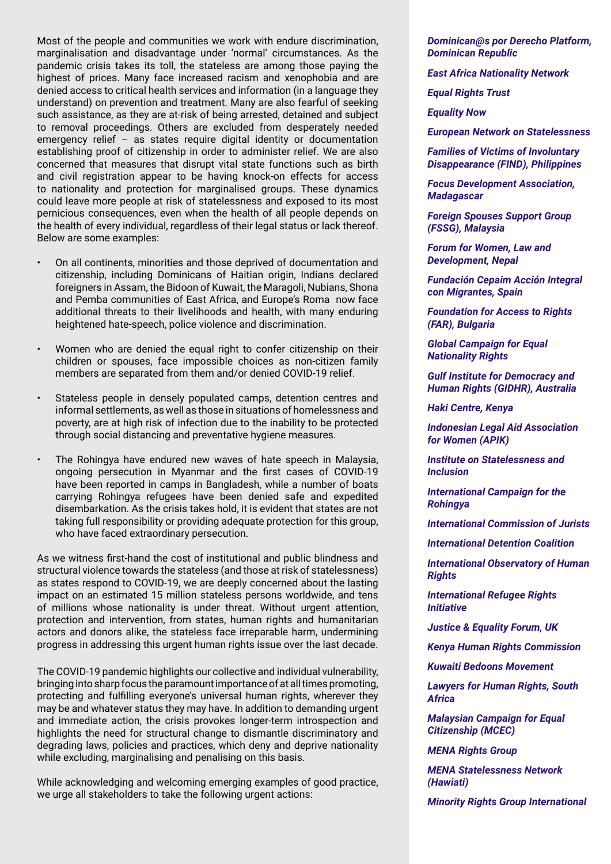Most of the people and communities we work with endure discrimination, marginalisation and disadvantage under 'normal' circumstances. As the pandemic crisis takes its toll, the stateless are among those paying the highest of prices. Many face increased racism and xenophobia and are denied access to critical health services and information (in a language they understand) on prevention and treatment. Many are also fearful of seeking such assistance, as they are at-risk of being arrested, detained and subject to removal proceedings. Others are excluded from desperately needed emergency relief – as states require digital identity or documentation establishing proof of citizenship in order to administer relief. We are also concerned that measures that disrupt vital state functions such as birth and civil registration appear to be having knock-on effects for access to nationality and protection for marginalised groups. These dynamics could leave more people at risk of statelessness and exposed to its most pernicious consequences, even when the health of all people depends on the health of every individual, regardless of their legal status or lack thereof. Below are some examples:

- On all continents, minorities and those deprived of documentation and citizenship, including Dominicans of Haitian origin, Indians declared foreigners in Assam, the Bidoon of Kuwait, the Maragoli, Nubians, Shona and Pemba communities of East Africa, and Europe's Roma now face additional threats to their livelihoods and health, with many enduring heightened hate-speech, police violence and discrimination.
- Women who are denied the equal right to confer citizenship on their children or spouses, face impossible choices as non-citizen family members are separated from them and/or denied COVID-19 relief.
- Stateless people in densely populated camps, detention centres and informal settlements, as well as those in situations of homelessness and poverty, are at high risk of infection due to the inability to be protected through social distancing and preventative hygiene measures.
- The Rohingya have endured new waves of hate speech in Malaysia, ongoing persecution in Myanmar and the first cases of COVID-19 have been reported in camps in Bangladesh, while a number of boats carrying Rohingya refugees have been denied safe and expedited disembarkation. As the crisis takes hold, it is evident that states are not taking full responsibility or providing adequate protection for this group, who have faced extraordinary persecution.

As we witness first-hand the cost of institutional and public blindness and structural violence towards the stateless (and those at risk of statelessness) as states respond to COVID-19, we are deeply concerned about the lasting impact on an estimated 15 million stateless persons worldwide, and tens of millions whose nationality is under threat. Without urgent attention, protection and intervention, from states, human rights and humanitarian actors and donors alike, the stateless face irreparable harm, undermining progress in addressing this urgent human rights issue over the last decade.

The COVID-19 pandemic highlights our collective and individual vulnerability, bringing into sharp focus the paramount importance of at all times promoting, protecting and fulfilling everyone's universal human rights, wherever they may be and whatever status they may have. In addition to demanding urgent and immediate action, the crisis provokes longer-term introspection and highlights the need for structural change to dismantle discriminatory and degrading laws, policies and practices, which deny and deprive nationality while excluding, marginalising and penalising on this basis.

While acknowledging and welcoming emerging examples of good practice, we urge all stakeholders to take the following urgent actions:

*Dominican@s por Derecho Platform, Dominican Republic*

*East Africa Nationality Network*

*Equal Rights Trust*

*Equality Now*

*European Network on Statelessness* 

*Families of Victims of Involuntary Disappearance (FIND), Philippines*

*Focus Development Association, Madagascar*

*Foreign Spouses Support Group (FSSG), Malaysia* 

*Forum for Women, Law and Development, Nepal*

*Fundación Cepaim Acción Integral con Migrantes, Spain*

*Foundation for Access to Rights (FAR), Bulgaria*

*Global Campaign for Equal Nationality Rights*

*Gulf Institute for Democracy and Human Rights (GIDHR), Australia*

*Haki Centre, Kenya*

*Indonesian Legal Aid Association for Women (APIK)*

*Institute on Statelessness and Inclusion*

*International Campaign for the Rohingya* 

*International Commission of Jurists* 

*International Detention Coalition*

*International Observatory of Human Rights* 

*International Refugee Rights Initiative*

*Justice & Equality Forum, UK*

*Kenya Human Rights Commission*

*Kuwaiti Bedoons Movement* 

*Lawyers for Human Rights, South Africa*

*Malaysian Campaign for Equal Citizenship (MCEC)* 

*MENA Rights Group*

*MENA Statelessness Network (Hawiati)*

*Minority Rights Group International*